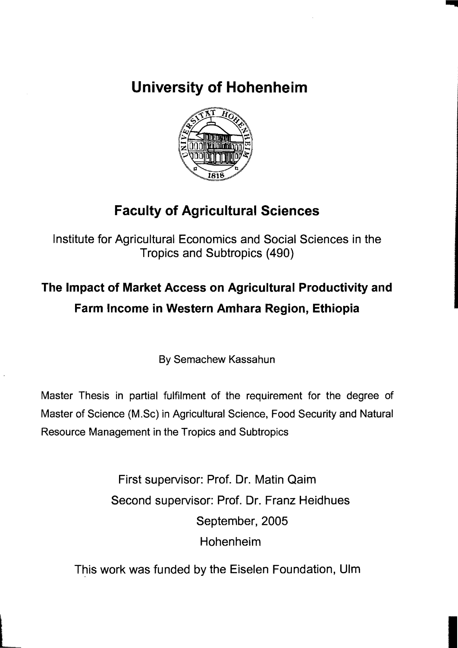**University of Hohenheim** 



## **Faculty of Agricultural Sciences**

Institute for Agricultural Economics and Social Sciences in the Tropics and Subtropics (490)

## **The Impact of Market Access on Agricultural Productivity and Farm Income in Western Amhara Region, Ethiopia**

By Semachew Kassahun

Master Thesis in partial fulfilment of the requirement for the degree of Master of Science (M.Sc) in Agricultural Science, Food Security and Natural Resource Management in the Tropics and Subtropics

> First supervisor: Prof. Dr. Matin Qaim Second supervisor: Prof. Dr. Franz Heidhues September, 2005 Hohenheim

This work was funded by the Eiselen Foundation, Ulm